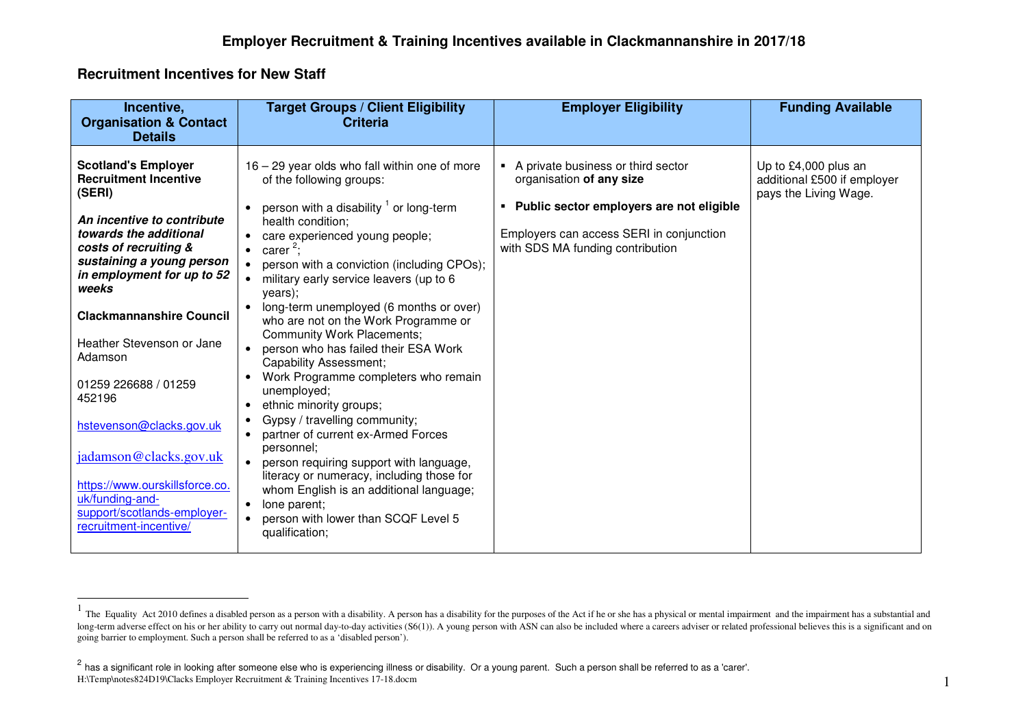## **Recruitment Incentives for New Staff**

| Incentive,<br><b>Organisation &amp; Contact</b><br><b>Details</b>                                                                                                                                                                                                                                                                                                                                                                                                                                          | <b>Target Groups / Client Eligibility</b><br><b>Criteria</b>                                                                                                                                                                                                                                                                                                                                                                                                                                                                                                                                                                                                                                                                                                                                                                                                                                                                                                                                                       | <b>Employer Eligibility</b>                                                                                                                                                                  | <b>Funding Available</b>                                                     |
|------------------------------------------------------------------------------------------------------------------------------------------------------------------------------------------------------------------------------------------------------------------------------------------------------------------------------------------------------------------------------------------------------------------------------------------------------------------------------------------------------------|--------------------------------------------------------------------------------------------------------------------------------------------------------------------------------------------------------------------------------------------------------------------------------------------------------------------------------------------------------------------------------------------------------------------------------------------------------------------------------------------------------------------------------------------------------------------------------------------------------------------------------------------------------------------------------------------------------------------------------------------------------------------------------------------------------------------------------------------------------------------------------------------------------------------------------------------------------------------------------------------------------------------|----------------------------------------------------------------------------------------------------------------------------------------------------------------------------------------------|------------------------------------------------------------------------------|
| <b>Scotland's Employer</b><br><b>Recruitment Incentive</b><br>(SERI)<br>An incentive to contribute<br>towards the additional<br>costs of recruiting &<br>sustaining a young person<br>in employment for up to 52<br>weeks<br><b>Clackmannanshire Council</b><br>Heather Stevenson or Jane<br>Adamson<br>01259 226688 / 01259<br>452196<br>hstevenson@clacks.gov.uk<br>jadamson@clacks.gov.uk<br>https://www.ourskillsforce.co.<br>uk/funding-and-<br>support/scotlands-employer-<br>recruitment-incentive/ | 16 - 29 year olds who fall within one of more<br>of the following groups:<br>person with a disability $1$ or long-term<br>health condition;<br>care experienced young people;<br>$\bullet$<br>carer <sup>2</sup> ;<br>$\bullet$<br>person with a conviction (including CPOs);<br>$\bullet$<br>military early service leavers (up to 6<br>years);<br>long-term unemployed (6 months or over)<br>who are not on the Work Programme or<br><b>Community Work Placements;</b><br>person who has failed their ESA Work<br>$\bullet$<br><b>Capability Assessment;</b><br>Work Programme completers who remain<br>unemployed;<br>ethnic minority groups;<br>$\bullet$<br>Gypsy / travelling community;<br>$\bullet$<br>partner of current ex-Armed Forces<br>personnel;<br>person requiring support with language,<br>$\bullet$<br>literacy or numeracy, including those for<br>whom English is an additional language;<br>lone parent;<br>$\bullet$<br>person with lower than SCQF Level 5<br>$\bullet$<br>qualification; | • A private business or third sector<br>organisation of any size<br>Public sector employers are not eligible<br>Employers can access SERI in conjunction<br>with SDS MA funding contribution | Up to £4,000 plus an<br>additional £500 if employer<br>pays the Living Wage. |

 $<sup>1</sup>$  The Equality Act 2010 defines a disabled person as a person with a disability. A person has a disability for the purposes of the Act if he or she has a physical or mental impairment and the impairment has a subs</sup> long-term adverse effect on his or her ability to carry out normal day-to-day activities (S6(1)). A young person with ASN can also be included where a careers adviser or related professional believes this is a significant going barrier to employment. Such a person shall be referred to as a 'disabled person').

<sup>&</sup>lt;sup>2</sup> has a significant role in looking after someone else who is experiencing illness or disability. Or a young parent. Such a person shall be referred to as a 'carer'. H:\Temp\notes824D19\Clacks Employer Recruitment & Training Incentives 17-18.docm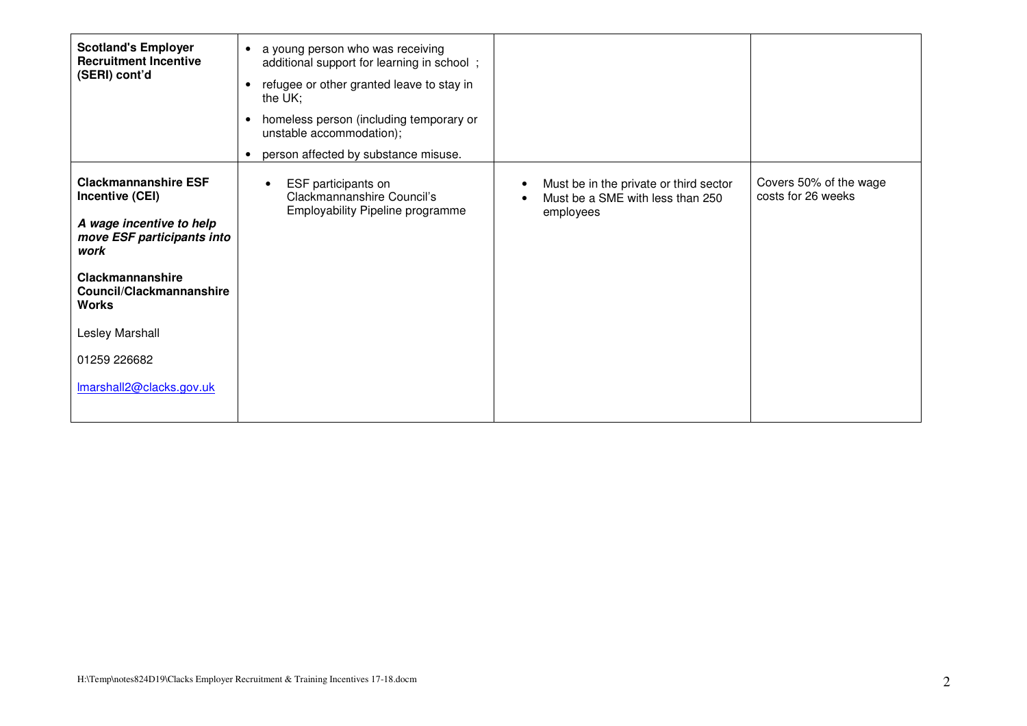| <b>Scotland's Employer</b><br><b>Recruitment Incentive</b><br>(SERI) cont'd                                                                                                                                                                            | a young person who was receiving<br>$\bullet$<br>additional support for learning in school;<br>refugee or other granted leave to stay in<br>the UK;<br>homeless person (including temporary or<br>$\bullet$<br>unstable accommodation);<br>person affected by substance misuse. |                                                                                         |                                              |
|--------------------------------------------------------------------------------------------------------------------------------------------------------------------------------------------------------------------------------------------------------|---------------------------------------------------------------------------------------------------------------------------------------------------------------------------------------------------------------------------------------------------------------------------------|-----------------------------------------------------------------------------------------|----------------------------------------------|
| <b>Clackmannanshire ESF</b><br>Incentive (CEI)<br>A wage incentive to help<br>move ESF participants into<br>work<br><b>Clackmannanshire</b><br>Council/Clackmannanshire<br><b>Works</b><br>Lesley Marshall<br>01259 226682<br>Imarshall2@clacks.gov.uk | ESF participants on<br>$\bullet$<br>Clackmannanshire Council's<br>Employability Pipeline programme                                                                                                                                                                              | Must be in the private or third sector<br>Must be a SME with less than 250<br>employees | Covers 50% of the wage<br>costs for 26 weeks |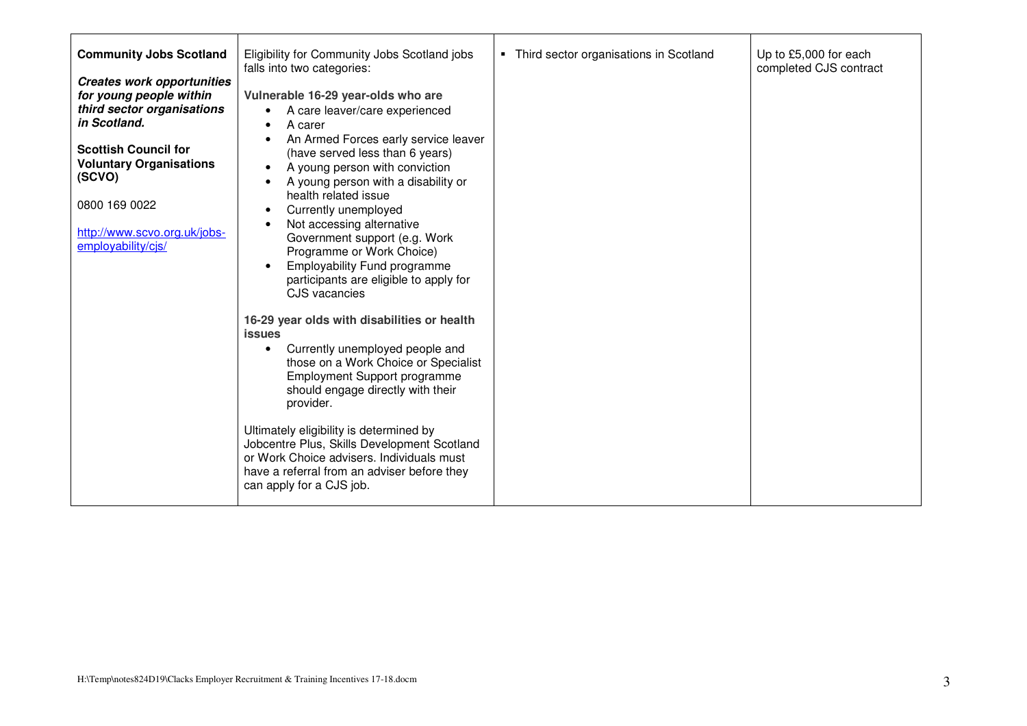| <b>Community Jobs Scotland</b><br><b>Creates work opportunities</b><br>for young people within<br>third sector organisations<br>in Scotland.<br><b>Scottish Council for</b><br><b>Voluntary Organisations</b><br>(SCVO)<br>0800 169 0022<br>http://www.scvo.org.uk/jobs-<br>employability/cjs/ | Eligibility for Community Jobs Scotland jobs<br>falls into two categories:<br>Vulnerable 16-29 year-olds who are<br>A care leaver/care experienced<br>$\bullet$<br>A carer<br>An Armed Forces early service leaver<br>(have served less than 6 years)<br>A young person with conviction<br>A young person with a disability or<br>health related issue<br>Currently unemployed<br>$\bullet$<br>Not accessing alternative<br>Government support (e.g. Work<br>Programme or Work Choice)<br><b>Employability Fund programme</b><br>$\bullet$<br>participants are eligible to apply for<br>CJS vacancies | • Third sector organisations in Scotland | Up to £5,000 for each<br>completed CJS contract |
|------------------------------------------------------------------------------------------------------------------------------------------------------------------------------------------------------------------------------------------------------------------------------------------------|-------------------------------------------------------------------------------------------------------------------------------------------------------------------------------------------------------------------------------------------------------------------------------------------------------------------------------------------------------------------------------------------------------------------------------------------------------------------------------------------------------------------------------------------------------------------------------------------------------|------------------------------------------|-------------------------------------------------|
|                                                                                                                                                                                                                                                                                                | 16-29 year olds with disabilities or health<br><b>issues</b><br>Currently unemployed people and<br>$\bullet$<br>those on a Work Choice or Specialist<br>Employment Support programme<br>should engage directly with their<br>provider.<br>Ultimately eligibility is determined by<br>Jobcentre Plus, Skills Development Scotland<br>or Work Choice advisers. Individuals must<br>have a referral from an adviser before they<br>can apply for a CJS job.                                                                                                                                              |                                          |                                                 |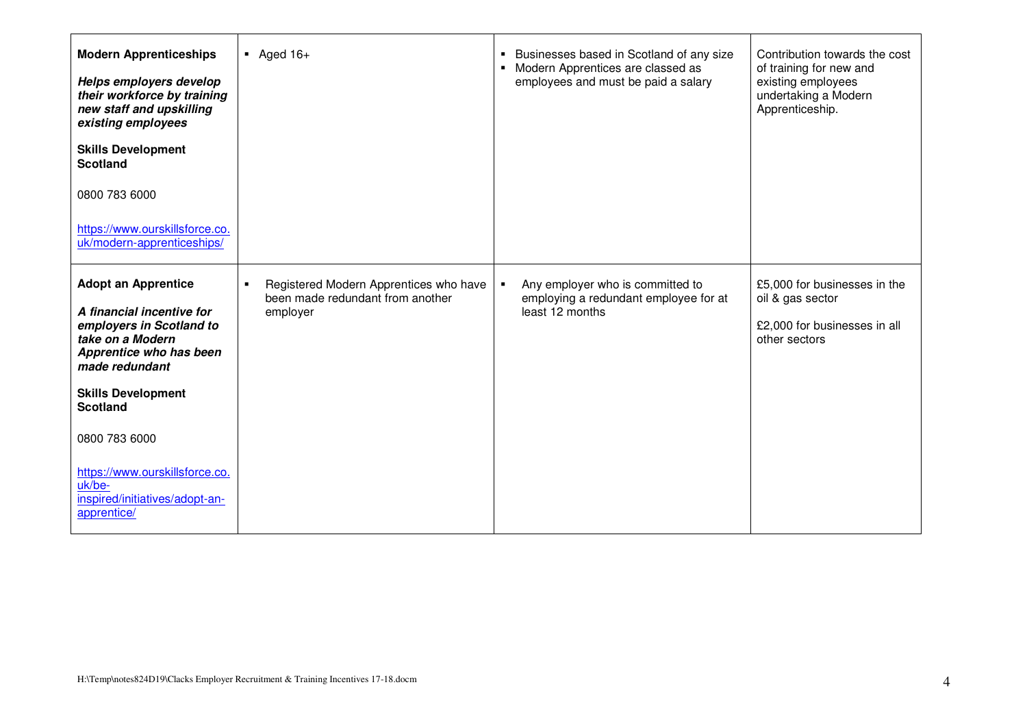| <b>Modern Apprenticeships</b><br>Helps employers develop<br>their workforce by training<br>new staff and upskilling<br>existing employees<br><b>Skills Development</b><br><b>Scotland</b><br>0800 783 6000<br>https://www.ourskillsforce.co.<br>uk/modern-apprenticeships/                                         | $\blacksquare$ Aged 16+                                                                                  | • Businesses based in Scotland of any size<br>• Modern Apprentices are classed as<br>employees and must be paid a salary | Contribution towards the cost<br>of training for new and<br>existing employees<br>undertaking a Modern<br>Apprenticeship. |
|--------------------------------------------------------------------------------------------------------------------------------------------------------------------------------------------------------------------------------------------------------------------------------------------------------------------|----------------------------------------------------------------------------------------------------------|--------------------------------------------------------------------------------------------------------------------------|---------------------------------------------------------------------------------------------------------------------------|
| <b>Adopt an Apprentice</b><br>A financial incentive for<br>employers in Scotland to<br>take on a Modern<br>Apprentice who has been<br>made redundant<br><b>Skills Development</b><br><b>Scotland</b><br>0800 783 6000<br>https://www.ourskillsforce.co.<br>uk/be-<br>inspired/initiatives/adopt-an-<br>apprentice/ | Registered Modern Apprentices who have<br>$\blacksquare$<br>been made redundant from another<br>employer | Any employer who is committed to<br>$\blacksquare$<br>employing a redundant employee for at<br>least 12 months           | £5,000 for businesses in the<br>oil & gas sector<br>£2,000 for businesses in all<br>other sectors                         |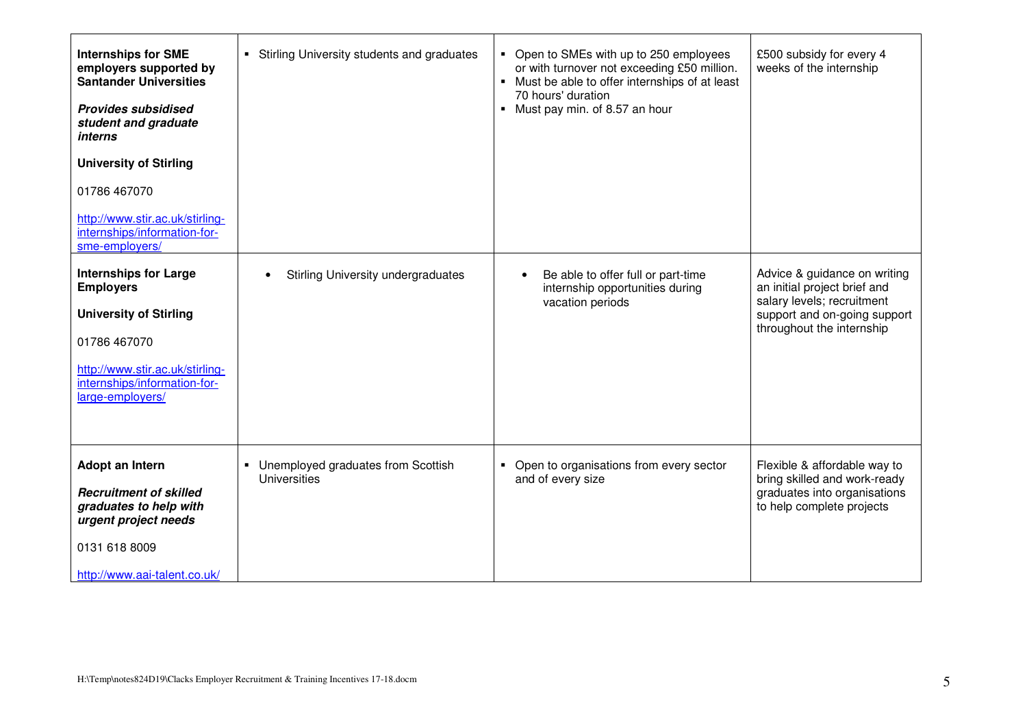| <b>Internships for SME</b><br>employers supported by<br><b>Santander Universities</b><br><b>Provides subsidised</b><br>student and graduate<br><i>interns</i><br><b>University of Stirling</b><br>01786 467070<br>http://www.stir.ac.uk/stirling-<br>internships/information-for-<br>sme-employers/ | • Stirling University students and graduates                                | • Open to SMEs with up to 250 employees<br>or with turnover not exceeding £50 million.<br>• Must be able to offer internships of at least<br>70 hours' duration<br>• Must pay min. of 8.57 an hour | £500 subsidy for every 4<br>weeks of the internship                                                                                                     |
|-----------------------------------------------------------------------------------------------------------------------------------------------------------------------------------------------------------------------------------------------------------------------------------------------------|-----------------------------------------------------------------------------|----------------------------------------------------------------------------------------------------------------------------------------------------------------------------------------------------|---------------------------------------------------------------------------------------------------------------------------------------------------------|
| <b>Internships for Large</b><br><b>Employers</b><br><b>University of Stirling</b><br>01786 467070<br>http://www.stir.ac.uk/stirling-<br>internships/information-for-<br>large-employers/                                                                                                            | Stirling University undergraduates<br>$\bullet$                             | Be able to offer full or part-time<br>$\bullet$<br>internship opportunities during<br>vacation periods                                                                                             | Advice & guidance on writing<br>an initial project brief and<br>salary levels; recruitment<br>support and on-going support<br>throughout the internship |
| Adopt an Intern<br><b>Recruitment of skilled</b><br>graduates to help with<br>urgent project needs<br>0131 618 8009<br>http://www.aai-talent.co.uk/                                                                                                                                                 | Unemployed graduates from Scottish<br>$\blacksquare$<br><b>Universities</b> | Open to organisations from every sector<br>$\blacksquare$<br>and of every size                                                                                                                     | Flexible & affordable way to<br>bring skilled and work-ready<br>graduates into organisations<br>to help complete projects                               |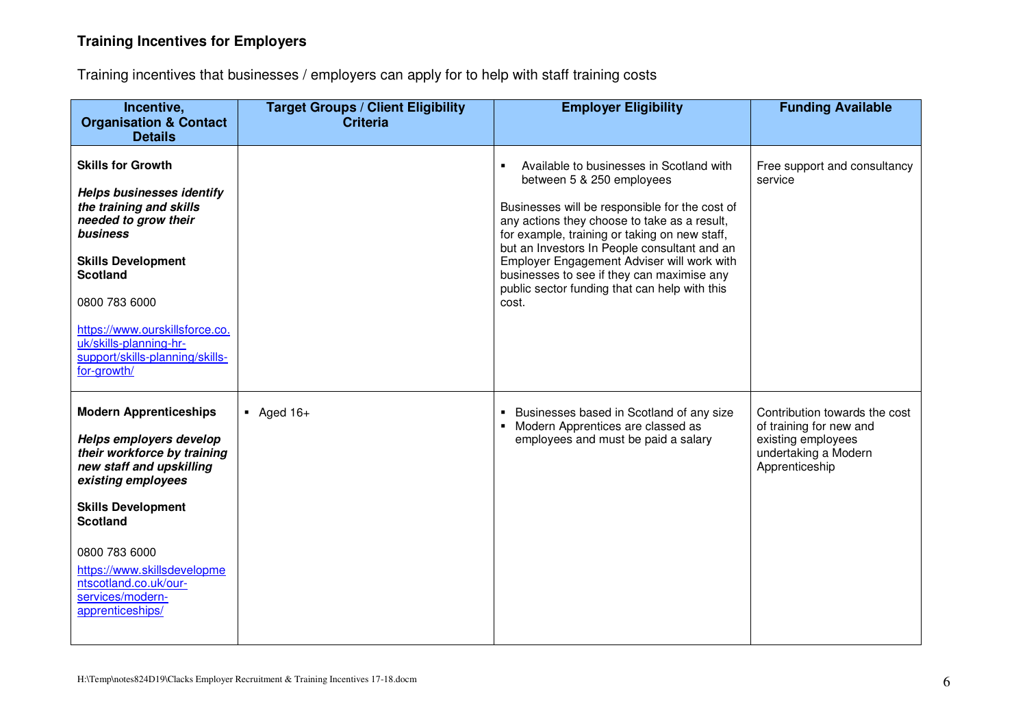## **Training Incentives for Employers**

Training incentives that businesses / employers can apply for to help with staff training costs

| Incentive,<br><b>Organisation &amp; Contact</b>                                                                                           | <b>Target Groups / Client Eligibility</b><br><b>Criteria</b> | <b>Employer Eligibility</b>                                                                                                                                                                     | <b>Funding Available</b>                                                                                                 |
|-------------------------------------------------------------------------------------------------------------------------------------------|--------------------------------------------------------------|-------------------------------------------------------------------------------------------------------------------------------------------------------------------------------------------------|--------------------------------------------------------------------------------------------------------------------------|
| <b>Details</b>                                                                                                                            |                                                              |                                                                                                                                                                                                 |                                                                                                                          |
| <b>Skills for Growth</b>                                                                                                                  |                                                              | Available to businesses in Scotland with<br>$\blacksquare$<br>between 5 & 250 employees                                                                                                         | Free support and consultancy<br>service                                                                                  |
| <b>Helps businesses identify</b><br>the training and skills<br>needed to grow their<br>business                                           |                                                              | Businesses will be responsible for the cost of<br>any actions they choose to take as a result,<br>for example, training or taking on new staff,<br>but an Investors In People consultant and an |                                                                                                                          |
| <b>Skills Development</b><br><b>Scotland</b>                                                                                              |                                                              | Employer Engagement Adviser will work with<br>businesses to see if they can maximise any<br>public sector funding that can help with this                                                       |                                                                                                                          |
| 0800 783 6000                                                                                                                             |                                                              | cost.                                                                                                                                                                                           |                                                                                                                          |
| https://www.ourskillsforce.co.<br>uk/skills-planning-hr-<br>support/skills-planning/skills-<br>for-growth/                                |                                                              |                                                                                                                                                                                                 |                                                                                                                          |
| <b>Modern Apprenticeships</b><br>Helps employers develop<br>their workforce by training<br>new staff and upskilling<br>existing employees | $\blacksquare$ Aged 16+                                      | • Businesses based in Scotland of any size<br>• Modern Apprentices are classed as<br>employees and must be paid a salary                                                                        | Contribution towards the cost<br>of training for new and<br>existing employees<br>undertaking a Modern<br>Apprenticeship |
| <b>Skills Development</b><br><b>Scotland</b>                                                                                              |                                                              |                                                                                                                                                                                                 |                                                                                                                          |
| 0800 783 6000<br>https://www.skillsdevelopme<br>ntscotland.co.uk/our-<br>services/modern-<br>apprenticeships/                             |                                                              |                                                                                                                                                                                                 |                                                                                                                          |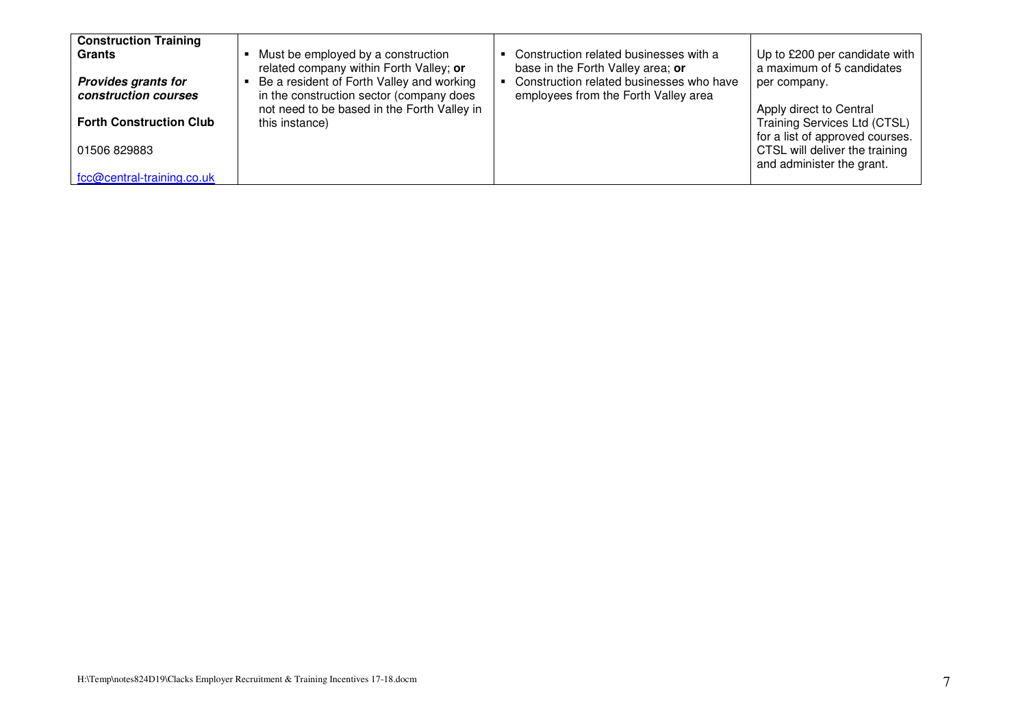| <b>Construction Training</b><br><b>Grants</b><br><b>Provides grants for</b><br>construction courses<br><b>Forth Construction Club</b><br>01506 829883 | Must be employed by a construction<br>related company within Forth Valley; or<br>Be a resident of Forth Valley and working<br>in the construction sector (company does<br>not need to be based in the Forth Valley in<br>this instance) | Construction related businesses with a<br>base in the Forth Valley area; or<br>Construction related businesses who have<br>employees from the Forth Valley area | Up to £200 per candidate with<br>a maximum of 5 candidates<br>per company.<br>Apply direct to Central<br>Training Services Ltd (CTSL)<br>for a list of approved courses.<br>CTSL will deliver the training<br>and administer the grant. |
|-------------------------------------------------------------------------------------------------------------------------------------------------------|-----------------------------------------------------------------------------------------------------------------------------------------------------------------------------------------------------------------------------------------|-----------------------------------------------------------------------------------------------------------------------------------------------------------------|-----------------------------------------------------------------------------------------------------------------------------------------------------------------------------------------------------------------------------------------|
| fcc@central-training.co.uk                                                                                                                            |                                                                                                                                                                                                                                         |                                                                                                                                                                 |                                                                                                                                                                                                                                         |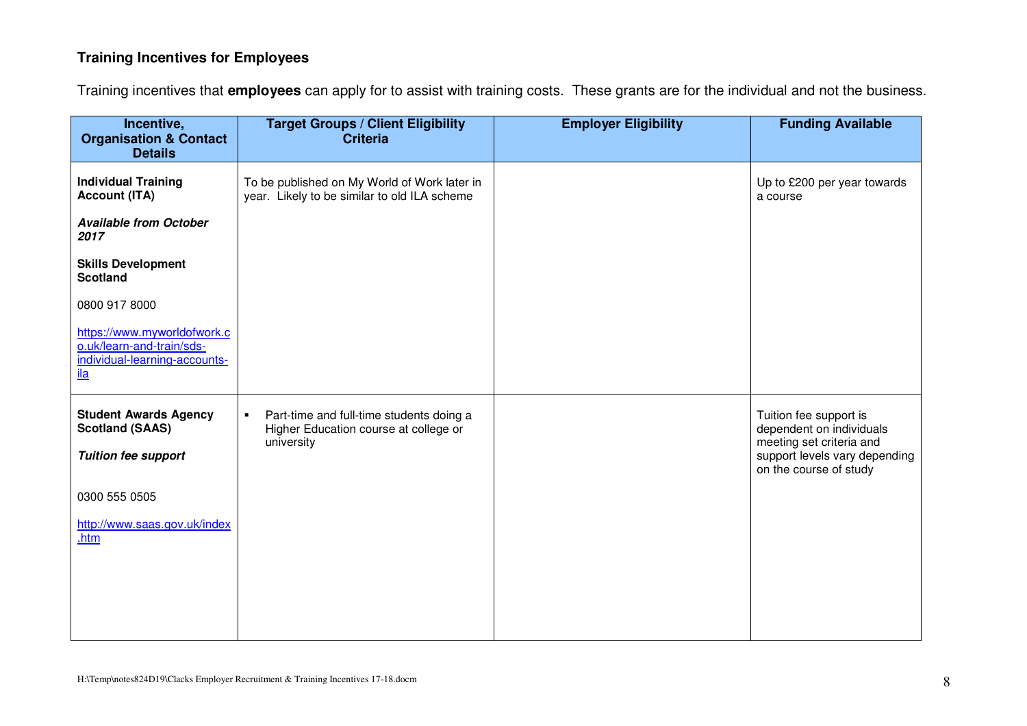## **Training Incentives for Employees**

Training incentives that **employees** can apply for to assist with training costs. These grants are for the individual and not the business.

| Incentive,<br><b>Organisation &amp; Contact</b>                                                         | <b>Target Groups / Client Eligibility</b><br><b>Criteria</b>                                                      | <b>Employer Eligibility</b> | <b>Funding Available</b>                                                       |
|---------------------------------------------------------------------------------------------------------|-------------------------------------------------------------------------------------------------------------------|-----------------------------|--------------------------------------------------------------------------------|
| <b>Details</b>                                                                                          |                                                                                                                   |                             |                                                                                |
| <b>Individual Training</b><br><b>Account (ITA)</b>                                                      | To be published on My World of Work later in<br>year. Likely to be similar to old ILA scheme                      |                             | Up to £200 per year towards<br>a course                                        |
| <b>Available from October</b><br>2017                                                                   |                                                                                                                   |                             |                                                                                |
| <b>Skills Development</b><br><b>Scotland</b>                                                            |                                                                                                                   |                             |                                                                                |
| 0800 917 8000                                                                                           |                                                                                                                   |                             |                                                                                |
| https://www.myworldofwork.c<br>o.uk/learn-and-train/sds-<br>individual-learning-accounts-<br><u>ila</u> |                                                                                                                   |                             |                                                                                |
| <b>Student Awards Agency</b><br><b>Scotland (SAAS)</b>                                                  | Part-time and full-time students doing a<br>$\blacksquare$<br>Higher Education course at college or<br>university |                             | Tuition fee support is<br>dependent on individuals<br>meeting set criteria and |
| <b>Tuition fee support</b>                                                                              |                                                                                                                   |                             | support levels vary depending<br>on the course of study                        |
| 0300 555 0505                                                                                           |                                                                                                                   |                             |                                                                                |
| http://www.saas.gov.uk/index<br>.htm                                                                    |                                                                                                                   |                             |                                                                                |
|                                                                                                         |                                                                                                                   |                             |                                                                                |
|                                                                                                         |                                                                                                                   |                             |                                                                                |
|                                                                                                         |                                                                                                                   |                             |                                                                                |